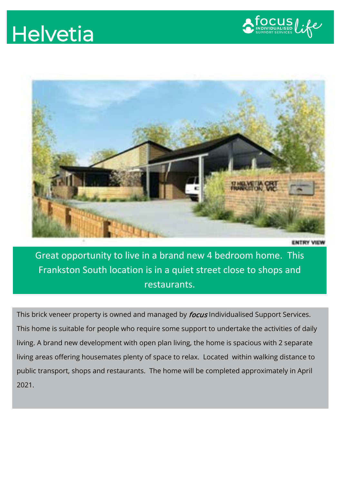## **Helvetia**





Great opportunity to live in a brand new 4 bedroom home. This Frankston South location is in a quiet street close to shops and restaurants.

This brick veneer property is owned and managed by *focus* Individualised Support Services. This home is suitable for people who require some support to undertake the activities of daily living. A brand new development with open plan living, the home is spacious with 2 separate living areas offering housemates plenty of space to relax. Located within walking distance to public transport, shops and restaurants. The home will be completed approximately in April 2021.